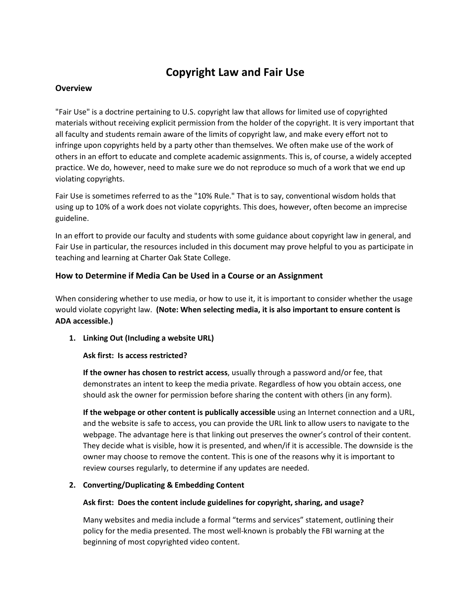# **Copyright Law and Fair Use**

# **Overview**

"Fair Use" is a doctrine pertaining to U.S. copyright law that allows for limited use of copyrighted materials without receiving explicit permission from the holder of the copyright. It is very important that all faculty and students remain aware of the limits of copyright law, and make every effort not to infringe upon copyrights held by a party other than themselves. We often make use of the work of others in an effort to educate and complete academic assignments. This is, of course, a widely accepted practice. We do, however, need to make sure we do not reproduce so much of a work that we end up violating copyrights.

Fair Use is sometimes referred to as the "10% Rule." That is to say, conventional wisdom holds that using up to 10% of a work does not violate copyrights. This does, however, often become an imprecise guideline.

In an effort to provide our faculty and students with some guidance about copyright law in general, and Fair Use in particular, the resources included in this document may prove helpful to you as participate in teaching and learning at Charter Oak State College.

# **How to Determine if Media Can be Used in a Course or an Assignment**

When considering whether to use media, or how to use it, it is important to consider whether the usage would violate copyright law. **(Note: When selecting media, it is also important to ensure content is ADA accessible.)**

**1. Linking Out (Including a website URL)**

## **Ask first: Is access restricted?**

**If the owner has chosen to restrict access**, usually through a password and/or fee, that demonstrates an intent to keep the media private. Regardless of how you obtain access, one should ask the owner for permission before sharing the content with others (in any form).

**If the webpage or other content is publically accessible** using an Internet connection and a URL, and the website is safe to access, you can provide the URL link to allow users to navigate to the webpage. The advantage here is that linking out preserves the owner's control of their content. They decide what is visible, how it is presented, and when/if it is accessible. The downside is the owner may choose to remove the content. This is one of the reasons why it is important to review courses regularly, to determine if any updates are needed.

## **2. Converting/Duplicating & Embedding Content**

## **Ask first: Does the content include guidelines for copyright, sharing, and usage?**

Many websites and media include a formal "terms and services" statement, outlining their policy for the media presented. The most well-known is probably the FBI warning at the beginning of most copyrighted video content.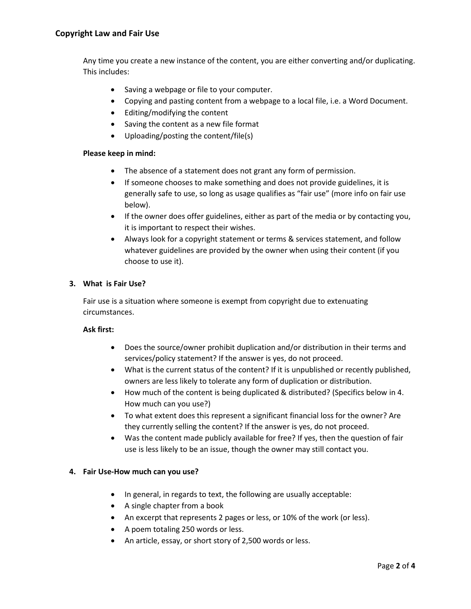Any time you create a new instance of the content, you are either converting and/or duplicating. This includes:

- Saving a webpage or file to your computer.
- Copying and pasting content from a webpage to a local file, i.e. a Word Document.
- Editing/modifying the content
- Saving the content as a new file format
- Uploading/posting the content/file(s)

#### **Please keep in mind:**

- The absence of a statement does not grant any form of permission.
- If someone chooses to make something and does not provide guidelines, it is generally safe to use, so long as usage qualifies as "fair use" (more info on fair use below).
- If the owner does offer guidelines, either as part of the media or by contacting you, it is important to respect their wishes.
- Always look for a copyright statement or terms & services statement, and follow whatever guidelines are provided by the owner when using their content (if you choose to use it).

#### **3. What is Fair Use?**

Fair use is a situation where someone is exempt from copyright due to extenuating circumstances.

# **Ask first:**

- Does the source/owner prohibit duplication and/or distribution in their terms and services/policy statement? If the answer is yes, do not proceed.
- What is the current status of the content? If it is unpublished or recently published, owners are less likely to tolerate any form of duplication or distribution.
- How much of the content is being duplicated & distributed? (Specifics below in 4. How much can you use?)
- To what extent does this represent a significant financial loss for the owner? Are they currently selling the content? If the answer is yes, do not proceed.
- Was the content made publicly available for free? If yes, then the question of fair use is less likely to be an issue, though the owner may still contact you.

## **4. Fair Use-How much can you use?**

- In general, in regards to text, the following are usually acceptable:
- A single chapter from a book
- An excerpt that represents 2 pages or less, or 10% of the work (or less).
- A poem totaling 250 words or less.
- An article, essay, or short story of 2,500 words or less.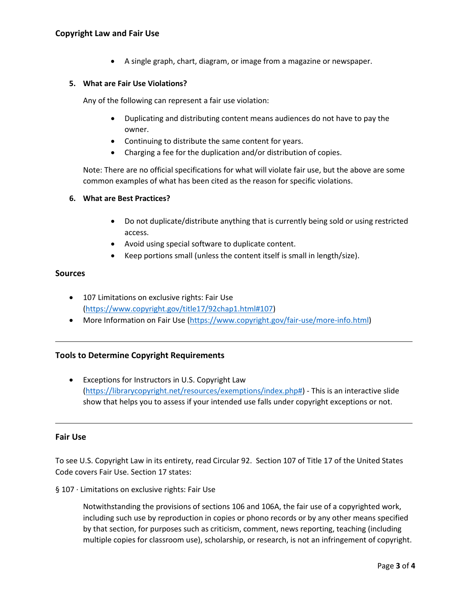• A single graph, chart, diagram, or image from a magazine or newspaper.

## **5. What are Fair Use Violations?**

Any of the following can represent a fair use violation:

- Duplicating and distributing content means audiences do not have to pay the owner.
- Continuing to distribute the same content for years.
- Charging a fee for the duplication and/or distribution of copies.

Note: There are no official specifications for what will violate fair use, but the above are some common examples of what has been cited as the reason for specific violations.

#### **6. What are Best Practices?**

- Do not duplicate/distribute anything that is currently being sold or using restricted access.
- Avoid using special software to duplicate content.
- Keep portions small (unless the content itself is small in length/size).

## **Sources**

- 107 Limitations on exclusive rights: Fair Use [\(https://www.copyright.gov/title17/92chap1.html#107\)](https://www.copyright.gov/title17/92chap1.html#107)
- More Information on Fair Use [\(https://www.copyright.gov/fair-use/more-info.html\)](https://www.copyright.gov/fair-use/more-info.html)

## **Tools to Determine Copyright Requirements**

• Exceptions for Instructors in U.S. Copyright Law [\(https://librarycopyright.net/resources/exemptions/index.php#\)](https://librarycopyright.net/resources/exemptions/index.php) - This is an interactive slide show that helps you to assess if your intended use falls under copyright exceptions or not.

#### **Fair Use**

To see U.S. Copyright Law in its entirety, read Circular 92. Section 107 of Title 17 of the United States Code covers Fair Use. Section 17 states:

§ 107 · Limitations on exclusive rights: Fair Use

Notwithstanding the provisions of sections 106 and 106A, the fair use of a copyrighted work, including such use by reproduction in copies or phono records or by any other means specified by that section, for purposes such as criticism, comment, news reporting, teaching (including multiple copies for classroom use), scholarship, or research, is not an infringement of copyright.